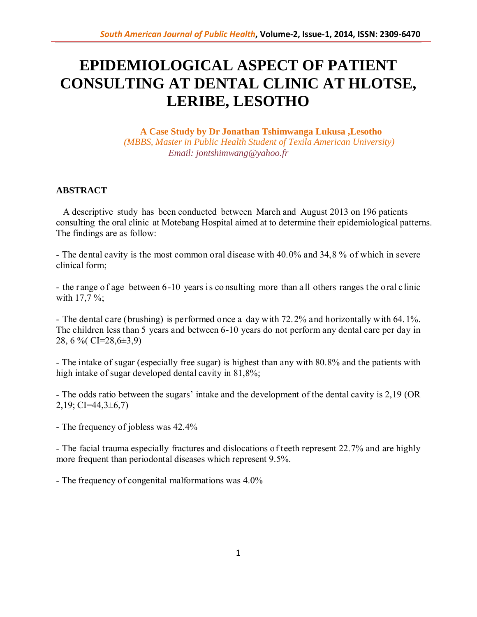# **EPIDEMIOLOGICAL ASPECT OF PATIENT CONSULTING AT DENTAL CLINIC AT HLOTSE, LERIBE, LESOTHO**

**A Case Study by Dr Jonathan Tshimwanga Lukusa ,Lesotho**  *(MBBS, Master in Public Health Student of Texila American University) Email: jontshimwang@yahoo.fr*

## **ABSTRACT**

 A descriptive study has been conducted between March and August 2013 on 196 patients consulting the oral clinic at Motebang Hospital aimed at to determine their epidemiological patterns. The findings are as follow:

- The dental cavity is the most common oral disease with 40.0% and 34,8 % of which in severe clinical form;

- the range of age between 6-10 years is consulting more than all others ranges the oral clinic with 17,7 %;

- The dental care (brushing) is performed once a day with 72.2% and horizontally with 64.1%. The children less than 5 years and between 6-10 years do not perform any dental care per day in 28, 6 %( CI=28,6±3,9)

- The intake of sugar (especially free sugar) is highest than any with 80.8% and the patients with high intake of sugar developed dental cavity in 81,8%;

- The odds ratio between the sugars' intake and the development of the dental cavity is 2,19 (OR  $2,19$ ; CI=44,3 $\pm$ 6,7)

- The frequency of jobless was 42.4%

- The facial trauma especially fractures and dislocations of teeth represent 22.7% and are highly more frequent than periodontal diseases which represent 9.5%.

- The frequency of congenital malformations was 4.0%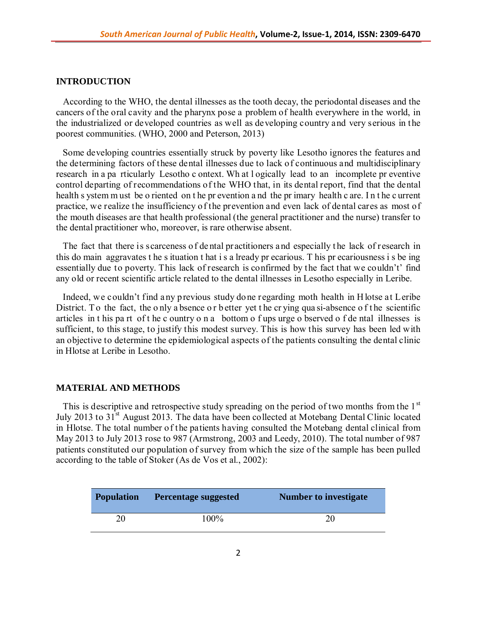## **INTRODUCTION**

 According to the WHO, the dental illnesses as the tooth decay, the periodontal diseases and the cancers of the oral cavity and the pharynx pose a problem of health everywhere in the world, in the industrialized or developed countries as well as developing country and very serious in the poorest communities. (WHO, 2000 and Peterson, 2013)

 Some developing countries essentially struck by poverty like Lesotho ignores the features and the determining factors of these dental illnesses due to lack of continuous and multidisciplinary research in a pa rticularly Lesotho c ontext. Wh at l ogically lead to an incomplete pr eventive control departing of recommendations of the WHO that, in its dental report, find that the dental health s ystem m ust be o riented on t he pr evention a nd the pr imary health c are. I n t he c urrent practice, we realize the insufficiency of the prevention and even lack of dental cares as most of the mouth diseases are that health professional (the general practitioner and the nurse) transfer to the dental practitioner who, moreover, is rare otherwise absent.

The fact that there is scarceness of dental practitioners and especially the lack of research in this do main aggravates t he s ituation t hat i s a lready pr ecarious. T his pr ecariousness i s be ing essentially due to poverty. This lack of research is confirmed by the fact that we couldn't' find any old or recent scientific article related to the dental illnesses in Lesotho especially in Leribe.

 Indeed, we couldn't find a ny previous study do ne regarding moth health in H lotse at Leribe District. To the fact, the only a bsence or better yet the crying qua si-absence of the scientific articles in t his pa rt of t he c ountry o n a bottom o f ups urge o bserved o f de ntal illnesses is sufficient, to this stage, to justify this modest survey. This is how this survey has been led with an objective to determine the epidemiological aspects of the patients consulting the dental clinic in Hlotse at Leribe in Lesotho.

### **MATERIAL AND METHODS**

This is descriptive and retrospective study spreading on the period of two months from the  $1<sup>st</sup>$ July 2013 to 31<sup>st</sup> August 2013. The data have been collected at Motebang Dental Clinic located in Hlotse. The total number of the patients having consulted the Motebang dental clinical from May 2013 to July 2013 rose to 987 (Armstrong, 2003 and Leedy, 2010). The total number of 987 patients constituted our population of survey from which the size of the sample has been pulled according to the table of Stoker (As de Vos et al., 2002):

| <b>Population</b> | <b>Percentage suggested</b> | <b>Number to investigate</b> |
|-------------------|-----------------------------|------------------------------|
| 20                | $100\%$                     | 20                           |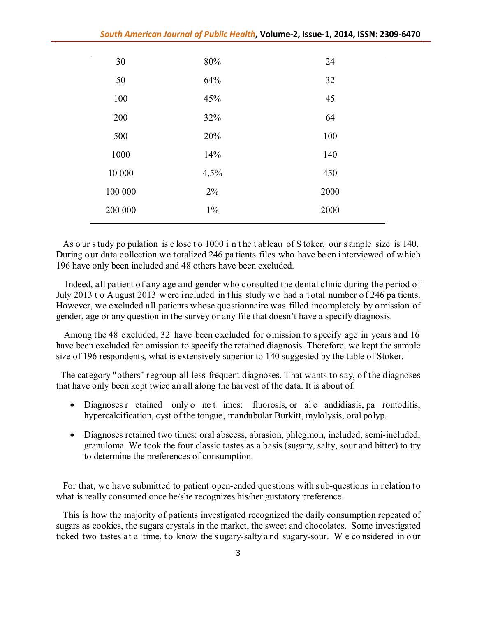| 30      | $80\%$ | 24   |
|---------|--------|------|
| 50      | 64%    | 32   |
| 100     | 45%    | 45   |
| 200     | 32%    | 64   |
| 500     | 20%    | 100  |
| 1000    | 14%    | 140  |
| 10 000  | 4,5%   | 450  |
| 100 000 | 2%     | 2000 |
| 200 000 | $1\%$  | 2000 |
|         |        |      |

As o ur s tudy po pulation is c lose t o 1000 i n t he t ableau of S toker, our s ample size is 140. During our data collection we totalized 246 pa tients files who have be en interviewed of which 196 have only been included and 48 others have been excluded.

 Indeed, all patient of any age and gender who consulted the dental clinic during the period of July 2013 t o August 2013 w ere included in this study we had a total number of 246 pa tients. However, we excluded all patients whose questionnaire was filled incompletely by omission of gender, age or any question in the survey or any file that doesn't have a specify diagnosis.

 Among the 48 excluded, 32 have been excluded for omission to specify age in years and 16 have been excluded for omission to specify the retained diagnosis. Therefore, we kept the sample size of 196 respondents, what is extensively superior to 140 suggested by the table of Stoker.

 The category "others" regroup all less frequent diagnoses. That wants to say, of the diagnoses that have only been kept twice an all along the harvest of the data. It is about of:

- Diagnoses r etained only o net imes: fluorosis, or al c andidiasis, pa rontoditis, hypercalcification, cyst of the tongue, mandubular Burkitt, mylolysis, oral polyp.
- Diagnoses retained two times: oral abscess, abrasion, phlegmon, included, semi-included, granuloma. We took the four classic tastes as a basis (sugary, salty, sour and bitter) to try to determine the preferences of consumption.

 For that, we have submitted to patient open-ended questions with sub-questions in relation to what is really consumed once he/she recognizes his/her gustatory preference.

 This is how the majority of patients investigated recognized the daily consumption repeated of sugars as cookies, the sugars crystals in the market, the sweet and chocolates. Some investigated ticked two tastes at a time, to know the sugary-salty and sugary-sour. We considered in our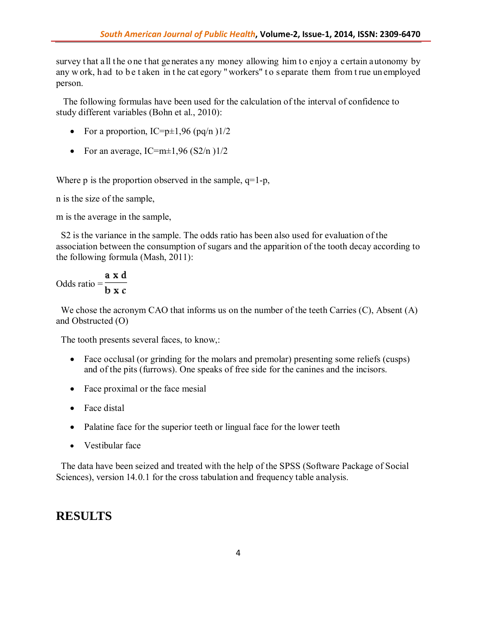survey that all the one that generates any money allowing him to enjoy a certain autonomy by any w ork, h ad to be t aken in the cat egory "workers" to separate them from t rue un employed person.

 The following formulas have been used for the calculation of the interval of confidence to study different variables (Bohn et al., 2010):

- For a proportion,  $IC=p\pm1,96$  (pq/n ) $1/2$
- For an average, IC=m $\pm$ 1,96 (S2/n)1/2

Where p is the proportion observed in the sample,  $q=1-p$ ,

n is the size of the sample,

m is the average in the sample,

 S2 is the variance in the sample. The odds ratio has been also used for evaluation of the association between the consumption of sugars and the apparition of the tooth decay according to the following formula (Mash, 2011):

Odds ratio = 
$$
\frac{a \times d}{b \times c}
$$

We chose the acronym CAO that informs us on the number of the teeth Carries (C), Absent (A) and Obstructed (O)

The tooth presents several faces, to know,:

- Face occlusal (or grinding for the molars and premolar) presenting some reliefs (cusps) and of the pits (furrows). One speaks of free side for the canines and the incisors.
- Face proximal or the face mesial
- Face distal
- Palatine face for the superior teeth or lingual face for the lower teeth
- Vestibular face

 The data have been seized and treated with the help of the SPSS (Software Package of Social Sciences), version 14.0.1 for the cross tabulation and frequency table analysis.

## **RESULTS**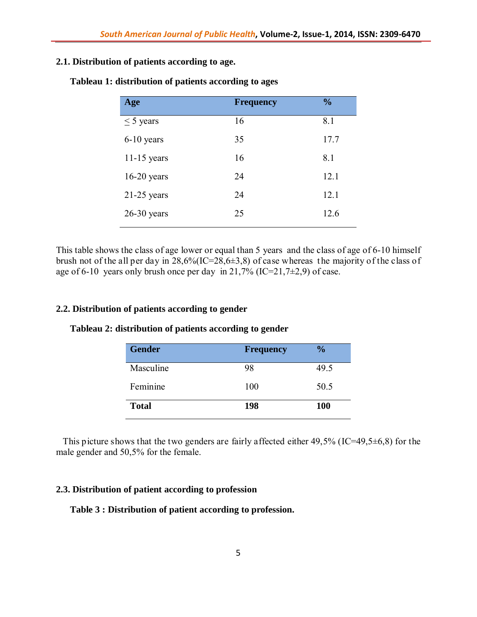## **2.1. Distribution of patients according to age.**

| Age            | <b>Frequency</b> | $\frac{0}{0}$ |
|----------------|------------------|---------------|
| $\leq$ 5 years | 16               | 8.1           |
| $6-10$ years   | 35               | 17.7          |
| $11-15$ years  | 16               | 8.1           |
| $16-20$ years  | 24               | 12.1          |
| $21-25$ years  | 24               | 12.1          |
| $26-30$ years  | 25               | 12.6          |
|                |                  |               |

**Tableau 1: distribution of patients according to ages**

This table shows the class of age lower or equal than 5 years and the class of age of 6-10 himself brush not of the all per day in  $28,6\frac{6}{(IC=28,6\pm 3,8)}$  of case whereas the majority of the class of age of 6-10 years only brush once per day in 21,7% (IC=21,7 $\pm$ 2,9) of case.

#### **2.2. Distribution of patients according to gender**

| <b>Gender</b> | <b>Frequency</b> | $\frac{0}{0}$ |
|---------------|------------------|---------------|
| Masculine     | 98               | 49.5          |
| Feminine      | 100              | 50.5          |
| <b>Total</b>  | 198              | <b>100</b>    |

### **Tableau 2: distribution of patients according to gender**

 This picture shows that the two genders are fairly affected either 49,5% (IC=49,5±6,8) for the male gender and 50,5% for the female.

#### **2.3. Distribution of patient according to profession**

#### **Table 3 : Distribution of patient according to profession.**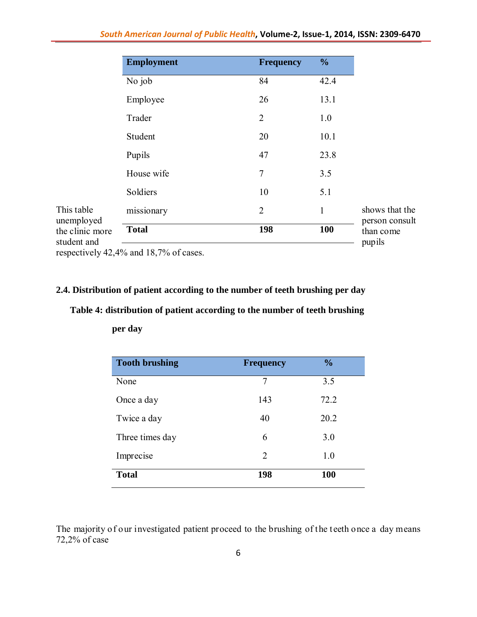|                               | <b>Employment</b> | <b>Frequency</b> | $\frac{0}{0}$ |
|-------------------------------|-------------------|------------------|---------------|
|                               | No job            | 84               | 42.4          |
|                               | Employee          | 26               | 13.1          |
|                               | Trader            | $\overline{2}$   | 1.0           |
|                               | Student           | 20               | 10.1          |
|                               | Pupils            | 47               | 23.8          |
|                               | House wife        | 7                | 3.5           |
|                               | Soldiers          | 10               | 5.1           |
| This table                    | missionary        | $\overline{2}$   | $\mathbf{1}$  |
| unemployed<br>the clinic more | <b>Total</b>      | 198              | 100           |
| student and                   |                   |                  |               |

respectively 42,4% and 18,7% of cases.

## **2.4. Distribution of patient according to the number of teeth brushing per day**

## **Table 4: distribution of patient according to the number of teeth brushing**

| <b>Tooth brushing</b> | <b>Frequency</b> | $\frac{0}{0}$ |
|-----------------------|------------------|---------------|
| None                  | 7                | 3.5           |
| Once a day            | 143              | 72.2          |
| Twice a day           | 40               | 20.2          |
| Three times day       | 6                | 3.0           |
| Imprecise             | 2                | 1.0           |
| <b>Total</b>          | 198              | 100           |

**per day**

The majority of our investigated patient proceed to the brushing of the teeth once a day means 72,2% of case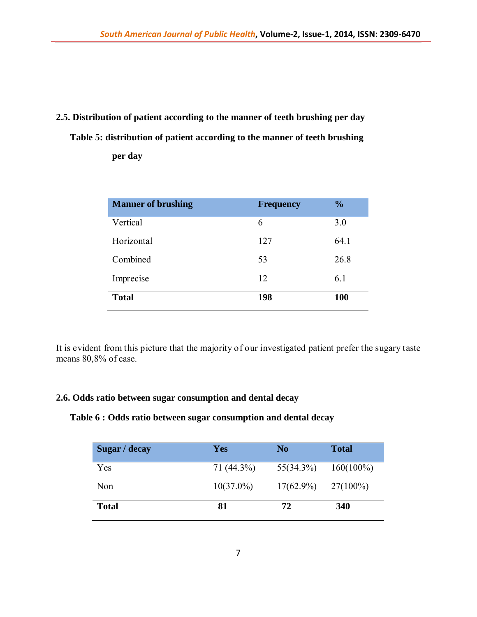# **2.5. Distribution of patient according to the manner of teeth brushing per day Table 5: distribution of patient according to the manner of teeth brushing per day**

| <b>Manner of brushing</b> | <b>Frequency</b> | $\frac{0}{0}$ |
|---------------------------|------------------|---------------|
| Vertical                  | 6                | 3.0           |
| Horizontal                | 127              | 64.1          |
| Combined                  | 53               | 26.8          |
| Imprecise                 | 12               | 6.1           |
| <b>Total</b>              | 198              | 100           |

It is evident from this picture that the majority of our investigated patient prefer the sugary taste means 80,8% of case.

## **2.6. Odds ratio between sugar consumption and dental decay**

**Table 6 : Odds ratio between sugar consumption and dental decay**

| Sugar / decay | <b>Yes</b>   | N <sub>0</sub> | <b>Total</b> |
|---------------|--------------|----------------|--------------|
| Yes           | 71 (44.3%)   | $55(34.3\%)$   | $160(100\%)$ |
| Non           | $10(37.0\%)$ | $17(62.9\%)$   | $27(100\%)$  |
| <b>Total</b>  | 81           | 72             | 340          |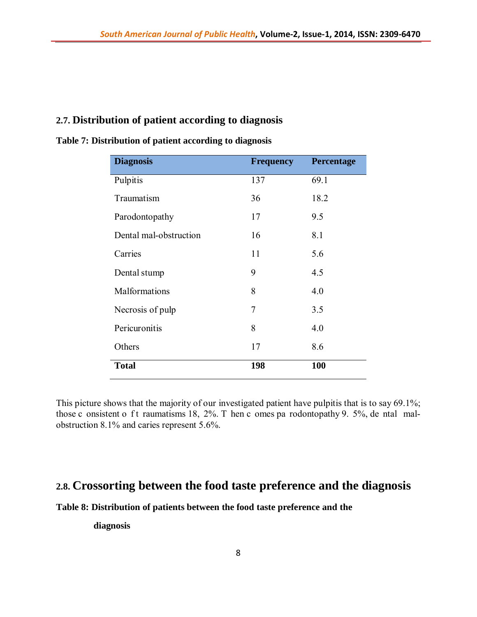## **2.7. Distribution of patient according to diagnosis**

| <b>Diagnosis</b>       | <b>Frequency</b> | Percentage |
|------------------------|------------------|------------|
| Pulpitis               | 137              | 69.1       |
| Traumatism             | 36               | 18.2       |
| Parodontopathy         | 17               | 9.5        |
| Dental mal-obstruction | 16               | 8.1        |
| Carries                | 11               | 5.6        |
| Dental stump           | 9                | 4.5        |
| Malformations          | 8                | 4.0        |
| Necrosis of pulp       | 7                | 3.5        |
| Pericuronitis          | 8                | 4.0        |
| Others                 | 17               | 8.6        |
| <b>Total</b>           | 198              | 100        |

#### **Table 7: Distribution of patient according to diagnosis**

This picture shows that the majority of our investigated patient have pulpitis that is to say 69.1%; those c onsistent o f t raumatisms 18,  $2\%$ . T hen c omes pa rodontopathy 9.  $5\%$ , de ntal malobstruction 8.1% and caries represent 5.6%.

# **2.8. Crossorting between the food taste preference and the diagnosis**

**Table 8: Distribution of patients between the food taste preference and the** 

 **diagnosis**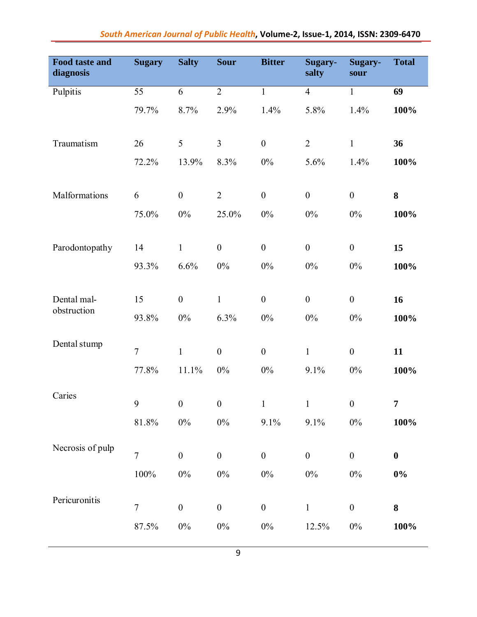| Food taste and<br>diagnosis | <b>Sugary</b>  | <b>Salty</b>     | <b>Sour</b>      | <b>Bitter</b>    | Sugary-<br>salty | Sugary-<br>sour  | <b>Total</b> |
|-----------------------------|----------------|------------------|------------------|------------------|------------------|------------------|--------------|
| Pulpitis                    | 55             | 6                | $\overline{2}$   | $\mathbf{1}$     | $\overline{4}$   | $\mathbf{1}$     | 69           |
|                             | 79.7%          | 8.7%             | 2.9%             | 1.4%             | 5.8%             | 1.4%             | 100%         |
| Traumatism                  | 26             | 5                | $\overline{3}$   | $\boldsymbol{0}$ | $\overline{2}$   | $\mathbf{1}$     | 36           |
|                             | 72.2%          | 13.9%            | 8.3%             | $0\%$            | 5.6%             | 1.4%             | 100%         |
| Malformations               | 6              | $\boldsymbol{0}$ | $\overline{2}$   | $\boldsymbol{0}$ | $\boldsymbol{0}$ | $\boldsymbol{0}$ | 8            |
|                             | 75.0%          | $0\%$            | 25.0%            | $0\%$            | $0\%$            | $0\%$            | 100%         |
| Parodontopathy              | 14             | $\mathbf{1}$     | $\boldsymbol{0}$ | $\boldsymbol{0}$ | $\boldsymbol{0}$ | $\boldsymbol{0}$ | 15           |
|                             | 93.3%          | 6.6%             | $0\%$            | $0\%$            | $0\%$            | $0\%$            | 100%         |
| Dental mal-                 | 15             | $\boldsymbol{0}$ | $\mathbf{1}$     | $\boldsymbol{0}$ | $\boldsymbol{0}$ | $\boldsymbol{0}$ | 16           |
| obstruction                 | 93.8%          | $0\%$            | 6.3%             | $0\%$            | $0\%$            | $0\%$            | 100%         |
| Dental stump                | $\overline{7}$ | $\mathbf{1}$     | $\boldsymbol{0}$ | $\boldsymbol{0}$ | $\mathbf{1}$     | $\boldsymbol{0}$ | 11           |
|                             | 77.8%          | 11.1%            | $0\%$            | $0\%$            | 9.1%             | $0\%$            | 100%         |
| Caries                      | 9              | $\boldsymbol{0}$ | $\boldsymbol{0}$ | $\mathbf{1}$     | $\mathbf{1}$     | $\boldsymbol{0}$ | 7            |
|                             | $81.8\%$       | $0\%$            | $0\%$            | 9.1%             | 9.1%             | $0\%$            | 100%         |
| Necrosis of pulp            | $\overline{7}$ | $\boldsymbol{0}$ | $\boldsymbol{0}$ | $\boldsymbol{0}$ | $\boldsymbol{0}$ | $\boldsymbol{0}$ | $\bf{0}$     |
|                             | $100\%$        | $0\%$            | $0\%$            | $0\%$            | $0\%$            | $0\%$            | $0\%$        |
| Pericuronitis               | $\overline{7}$ | $\boldsymbol{0}$ | $\boldsymbol{0}$ | $\boldsymbol{0}$ | $\mathbf{1}$     | $\boldsymbol{0}$ | 8            |
|                             | 87.5%          | $0\%$            | $0\%$            | $0\%$            | 12.5%            | $0\%$            | 100%         |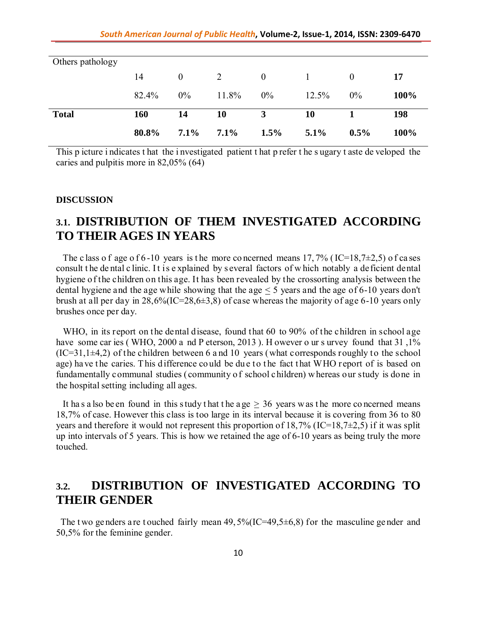| Others pathology |       |                |         |                  |          |          |      |
|------------------|-------|----------------|---------|------------------|----------|----------|------|
|                  | 14    | $\overline{0}$ | 2       | $\boldsymbol{0}$ | $\sim$ 1 | $\theta$ | 17   |
|                  | 82.4% | $0\%$          | 11.8%   | $0\%$            | $12.5\%$ | 0%       | 100% |
| <b>Total</b>     | 160   | 14             | 10      | 3                | 10       |          | 198  |
|                  | 80.8% | $7.1\%$        | $7.1\%$ | 1.5%             | $5.1\%$  | $0.5\%$  | 100% |

This p icture i ndicates t hat the i nvestigated patient t hat p refer t he s ugary t aste de veloped the caries and pulpitis more in 82,05% (64)

#### **DISCUSSION**

# **3.1. DISTRIBUTION OF THEM INVESTIGATED ACCORDING TO THEIR AGES IN YEARS**

The c lass o f age o f 6 -10 years is the more concerned means 17,7% (IC=18,7 $\pm$ 2,5) o f ca ses consult t he de ntal c linic. I t is e xplained by s everal factors of w hich notably a deficient dental hygiene of the children on this age. It has been revealed by the crossorting analysis between the dental hygiene and the age while showing that the age < 5 years and the age of 6-10 years don't brush at all per day in  $28,6\frac{6}{(1C=28,6\pm3,8)}$  of case whereas the majority of age 6-10 years only brushes once per day.

WHO, in its report on the dental disease, found that 60 to 90% of the children in school age have some car ies (WHO, 2000 a nd P eterson, 2013). H owever o ur s urvey found that 31, 1%  $(IC=31,1\pm4,2)$  of the children between 6 and 10 years (what corresponds roughly to the school age) ha ve the caries. This difference could be due to the fact that WHO report of is based on fundamentally communal studies (community o f school children) w hereas our study is done in the hospital setting including all ages.

It has a lso be en found in this study that the age  $\geq$  36 years w as the more concerned means 18,7% of case. However this class is too large in its interval because it is covering from 36 to 80 years and therefore it would not represent this proportion of 18,7% (IC=18,7±2,5) if it was split up into intervals of 5 years. This is how we retained the age of 6-10 years as being truly the more touched.

# **3.2. DISTRIBUTION OF INVESTIGATED ACCORDING TO THEIR GENDER**

The two genders are touched fairly mean  $49,5\%$  (IC=49,5 $\pm$ 6,8) for the masculine gender and 50,5% for the feminine gender.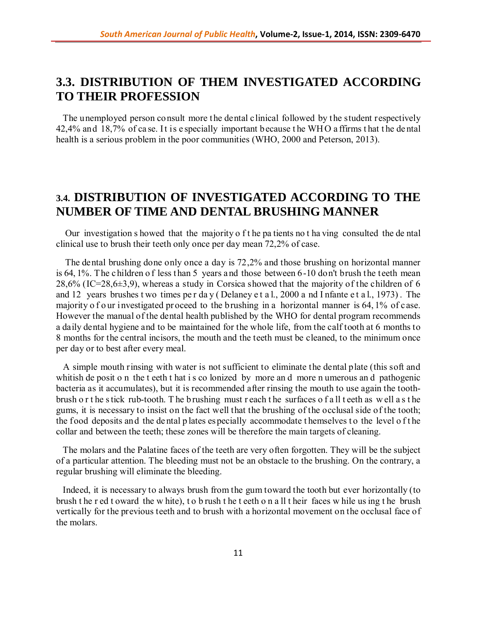# **3.3. DISTRIBUTION OF THEM INVESTIGATED ACCORDING TO THEIR PROFESSION**

 The unemployed person consult more the dental clinical followed by the student respectively 42,4% and 18,7% of ca se. It is e specially important because t he WH O a ffirms t hat t he de ntal health is a serious problem in the poor communities (WHO, 2000 and Peterson, 2013).

# **3.4. DISTRIBUTION OF INVESTIGATED ACCORDING TO THE NUMBER OF TIME AND DENTAL BRUSHING MANNER**

 Our investigation s howed that the majority o f t he pa tients no t ha ving consulted the de ntal clinical use to brush their teeth only once per day mean 72,2% of case.

 The dental brushing done only once a day is 72,2% and those brushing on horizontal manner is 64, 1%. The children of less than 5 years and those between 6-10 don't brush the teeth mean 28,6% (IC=28,6 $\pm$ 3,9), whereas a study in Corsica showed that the majority of the children of 6 and 12 years brushes t wo times pe r da y ( Delaney e t a l., 2000 a nd I nfante e t a l., 1973) . The majority of our investigated proceed to the brushing in a horizontal manner is 64, 1% of c ase. However the manual of the dental health published by the WHO for dental program recommends a daily dental hygiene and to be maintained for the whole life, from the calf tooth at 6 months to 8 months for the central incisors, the mouth and the teeth must be cleaned, to the minimum once per day or to best after every meal.

 A simple mouth rinsing with water is not sufficient to eliminate the dental plate (this soft and whitish de posit o n the t eeth t hat is colonized by more and more n umerous and pathogenic bacteria as it accumulates), but it is recommended after rinsing the mouth to use again the toothbrush o r t he s tick rub-tooth. T he b rushing must r each t he surfaces o f a ll t eeth as w ell a s t he gums, it is necessary to insist on the fact well that the brushing of the occlusal side of the tooth; the food deposits and the dental p lates es pecially accommodate t hemselves to the level of the collar and between the teeth; these zones will be therefore the main targets of cleaning.

 The molars and the Palatine faces of the teeth are very often forgotten. They will be the subject of a particular attention. The bleeding must not be an obstacle to the brushing. On the contrary, a regular brushing will eliminate the bleeding.

 Indeed, it is necessary to always brush from the gum toward the tooth but ever horizontally (to brush t he r ed t oward the w hite), t o b rush t he t eeth o n a ll t heir faces w hile us ing t he brush vertically for the previous teeth and to brush with a horizontal movement on the occlusal face of the molars.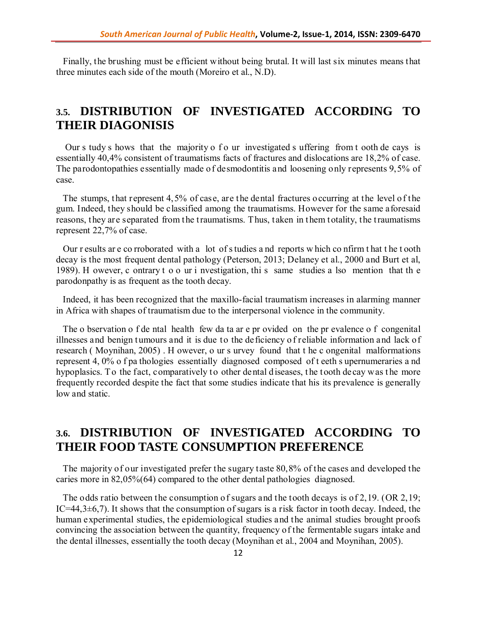Finally, the brushing must be efficient without being brutal. It will last six minutes means that three minutes each side of the mouth (Moreiro et al., N.D).

# **3.5. DISTRIBUTION OF INVESTIGATED ACCORDING TO THEIR DIAGONISIS**

Our s tudy s hows that the majority o f o ur investigated s uffering from t ooth de cays is essentially 40,4% consistent of traumatisms facts of fractures and dislocations are 18,2% of case. The parodontopathies essentially made of desmodontitis and loosening only represents 9,5% of case.

 The stumps, that represent 4,5% of case, are the dental fractures occurring at the level o f the gum. Indeed, they should be classified among the traumatisms. However for the same aforesaid reasons, they are separated from the traumatisms. Thus, taken in them totality, the traumatisms represent 22,7% of case.

 Our r esults ar e co rroborated with a lot of s tudies a nd reports w hich co nfirm t hat t he t ooth decay is the most frequent dental pathology (Peterson, 2013; Delaney et al., 2000 and Burt et al, 1989). H owever, c ontrary t o o ur i nvestigation, thi s same studies a lso mention that th e parodonpathy is as frequent as the tooth decay.

 Indeed, it has been recognized that the maxillo-facial traumatism increases in alarming manner in Africa with shapes of traumatism due to the interpersonal violence in the community.

 The o bservation o f de ntal health few da ta ar e pr ovided on the pr evalence o f congenital illnesses and benign tumours and it is due to the deficiency o f reliable information and lack of research ( Moynihan, 2005) . H owever, o ur s urvey found that t he c ongenital malformations represent 4, 0% o f pa thologies essentially diagnosed composed of t eeth s upernumeraries a nd hypoplasics. To the fact, comparatively to other dental d iseases, the tooth decay was the more frequently recorded despite the fact that some studies indicate that his its prevalence is generally low and static.

# **3.6. DISTRIBUTION OF INVESTIGATED ACCORDING TO THEIR FOOD TASTE CONSUMPTION PREFERENCE**

 The majority of our investigated prefer the sugary taste 80,8% of the cases and developed the caries more in 82,05%(64) compared to the other dental pathologies diagnosed.

 The odds ratio between the consumption of sugars and the tooth decays is of 2,19. (OR 2,19; IC=44,3 $\pm$ 6,7). It shows that the consumption of sugars is a risk factor in tooth decay. Indeed, the human experimental studies, the epidemiological studies and the animal studies brought proofs convincing the association between the quantity, frequency of the fermentable sugars intake and the dental illnesses, essentially the tooth decay (Moynihan et al., 2004 and Moynihan, 2005).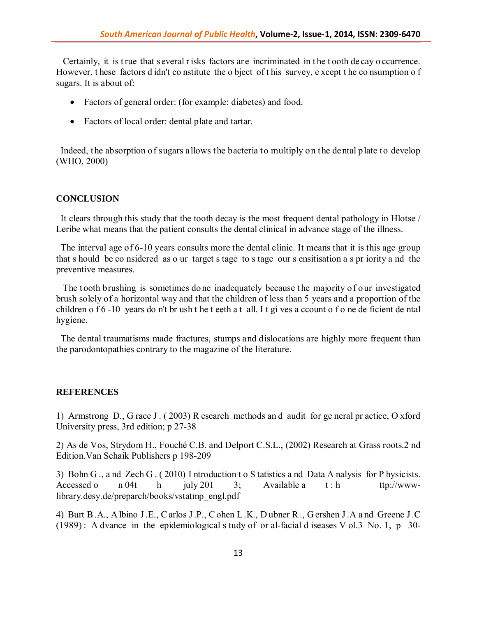Certainly, it is t rue that s everal r isks factors are incriminated in t he t ooth de cay o ccurrence. However, t hese factors d idn't co nstitute the o bject of t his survey, e xcept t he co nsumption o f sugars. It is about of:

- Factors of general order: (for example: diabetes) and food.
- Factors of local order: dental plate and tartar.

 Indeed, the absorption of sugars allows the bacteria to multiply on the dental plate to develop (WHO, 2000)

#### **CONCLUSION**

 It clears through this study that the tooth decay is the most frequent dental pathology in Hlotse / Leribe what means that the patient consults the dental clinical in advance stage of the illness.

 The interval age of 6-10 years consults more the dental clinic. It means that it is this age group that s hould be co nsidered as o ur target s tage to s tage our s ensitisation a s pr iority a nd the preventive measures.

The tooth brushing is sometimes do ne inadequately because the majority of our investigated brush solely of a horizontal way and that the children of less than 5 years and a proportion of the children o f 6 -10 years do n't br ush t he t eeth a t all. I t gi ves a ccount o f o ne de ficient de ntal hygiene.

 The dental traumatisms made fractures, stumps and dislocations are highly more frequent than the parodontopathies contrary to the magazine of the literature.

#### **REFERENCES**

1) Armstrong D., G race J . ( 2003) R esearch methods an d audit for ge neral pr actice, O xford University press, 3rd edition; p 27-38

2) As de Vos, Strydom H., Fouché C.B. and Delport C.S.L., (2002) Research at Grass roots.2 nd Edition.Van Schaik Publishers p 198-209

3) Bohn G ., a nd Zech G . ( 2010) I ntroduction t o S tatistics a nd Data A nalysis for P hysicists. Accessed o n 04t h july 201 3; Available a t : h ttp://wwwlibrary.desy.de/preparch/books/vstatmp\_engl.pdf

4) Burt B .A., A lbino J .E., C arlos J .P., C ohen L .K., D ubner R ., G ershen J .A a nd Greene J .C (1989) : A dvance in the epidemiological s tudy of or al-facial d iseases V ol.3 No. 1, p 30